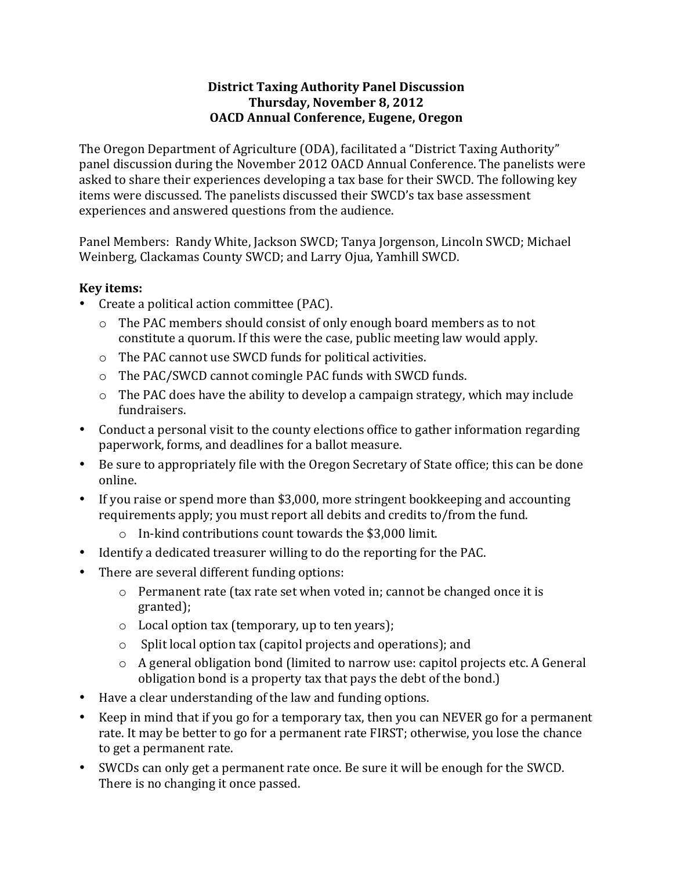## **District'Taxing'Authority'Panel'Discussion'** Thursday, November 8, 2012 **OACD'Annual'Conference,'Eugene, Oregon**

The Oregon Department of Agriculture (ODA), facilitated a "District Taxing Authority" panel discussion during the November 2012 OACD Annual Conference. The panelists were asked to share their experiences developing a tax base for their SWCD. The following key items were discussed. The panelists discussed their SWCD's tax base assessment experiences and answered questions from the audience.

Panel Members: Randy White, Jackson SWCD; Tanya Jorgenson, Lincoln SWCD; Michael Weinberg, Clackamas County SWCD; and Larry Ojua, Yamhill SWCD.

## **Key'items:**

- Create a political action committee (PAC).
	- $\circ$  The PAC members should consist of only enough board members as to not constitute a quorum. If this were the case, public meeting law would apply.
	- o The PAC cannot use SWCD funds for political activities.
	- $\circ$  The PAC/SWCD cannot comingle PAC funds with SWCD funds.
	- $\circ$  The PAC does have the ability to develop a campaign strategy, which may include fundraisers.
- Conduct a personal visit to the county elections office to gather information regarding paperwork, forms, and deadlines for a ballot measure.
- Be sure to appropriately file with the Oregon Secretary of State office; this can be done online.
- If you raise or spend more than \$3,000, more stringent bookkeeping and accounting requirements apply; you must report all debits and credits to/from the fund.
	- $\circ$  In-kind contributions count towards the \$3,000 limit.
- Identify a dedicated treasurer willing to do the reporting for the PAC.
- There are several different funding options:
	- $\circ$  Permanent rate (tax rate set when voted in; cannot be changed once it is granted);
	- $\circ$  Local option tax (temporary, up to ten years);
	- $\circ$  Split local option tax (capitol projects and operations); and
	- $\circ$  A general obligation bond (limited to narrow use: capitol projects etc. A General obligation bond is a property tax that pays the debt of the bond.)
- Have a clear understanding of the law and funding options.
- Keep in mind that if you go for a temporary tax, then you can NEVER go for a permanent rate. It may be better to go for a permanent rate FIRST; otherwise, you lose the chance to get a permanent rate.
- SWCDs can only get a permanent rate once. Be sure it will be enough for the SWCD. There is no changing it once passed.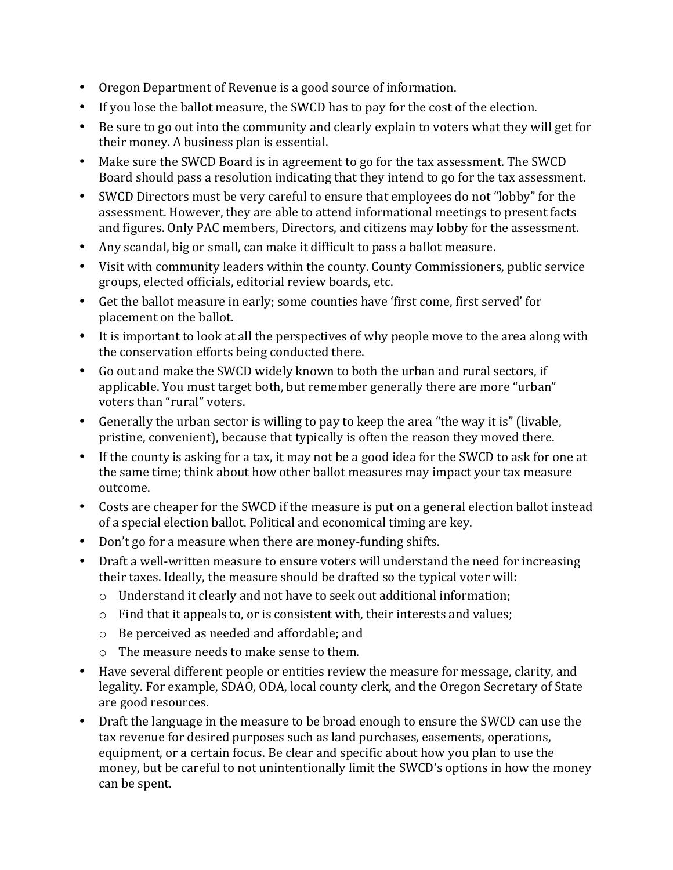- Oregon Department of Revenue is a good source of information.
- If you lose the ballot measure, the SWCD has to pay for the cost of the election.
- Be sure to go out into the community and clearly explain to voters what they will get for their money. A business plan is essential.
- Make sure the SWCD Board is in agreement to go for the tax assessment. The SWCD Board should pass a resolution indicating that they intend to go for the tax assessment.
- SWCD Directors must be very careful to ensure that employees do not "lobby" for the assessment. However, they are able to attend informational meetings to present facts and figures. Only PAC members, Directors, and citizens may lobby for the assessment.
- Any scandal, big or small, can make it difficult to pass a ballot measure.
- Visit with community leaders within the county. County Commissioners, public service groups, elected officials, editorial review boards, etc.
- Get the ballot measure in early; some counties have 'first come, first served' for placement on the ballot.
- It is important to look at all the perspectives of why people move to the area along with the conservation efforts being conducted there.
- Go out and make the SWCD widely known to both the urban and rural sectors, if applicable. You must target both, but remember generally there are more "urban" voters than "rural" voters.
- Generally the urban sector is willing to pay to keep the area "the way it is" (livable, pristine, convenient), because that typically is often the reason they moved there.
- If the county is asking for a tax, it may not be a good idea for the SWCD to ask for one at the same time; think about how other ballot measures may impact your tax measure outcome.
- Costs are cheaper for the SWCD if the measure is put on a general election ballot instead of a special election ballot. Political and economical timing are key.
- Don't go for a measure when there are money-funding shifts.
- Draft a well-written measure to ensure voters will understand the need for increasing their taxes. Ideally, the measure should be drafted so the typical voter will:
	- $\circ$  Understand it clearly and not have to seek out additional information;
	- $\circ$  Find that it appeals to, or is consistent with, their interests and values;
	- $\circ$  Be perceived as needed and affordable; and
	- $\circ$  The measure needs to make sense to them.
- Have several different people or entities review the measure for message, clarity, and legality. For example, SDAO, ODA, local county clerk, and the Oregon Secretary of State are good resources.
- Draft the language in the measure to be broad enough to ensure the SWCD can use the tax revenue for desired purposes such as land purchases, easements, operations, equipment, or a certain focus. Be clear and specific about how you plan to use the money, but be careful to not unintentionally limit the SWCD's options in how the money can be spent.